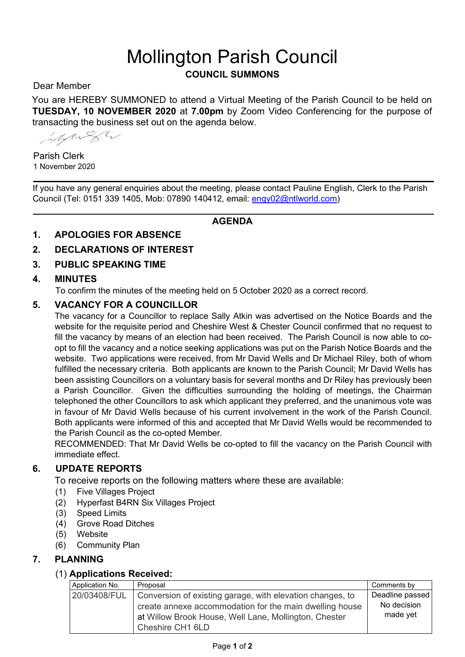# Mollington Parish Council

# **COUNCIL SUMMONS**

Dear Member

You are HEREBY SUMMONED to attend a Virtual Meeting of the Parish Council to be held on **TUESDAY, 10 NOVEMBER 2020** at **7.00pm** by Zoom Video Conferencing for the purpose of transacting the business set out on the agenda below.

MARK

Parish Clerk 1 November 2020

If you have any general enquiries about the meeting, please contact Pauline English, Clerk to the Parish Council (Tel: 0151 339 1405, Mob: 07890 140412, email: engy02@ntlworld.com)

#### **AGENDA**

**1. APOLOGIES FOR ABSENCE** 

#### **2. DECLARATIONS OF INTEREST**

**3. PUBLIC SPEAKING TIME** 

#### **4. MINUTES**

To confirm the minutes of the meeting held on 5 October 2020 as a correct record.

#### **5. VACANCY FOR A COUNCILLOR**

The vacancy for a Councillor to replace Sally Atkin was advertised on the Notice Boards and the website for the requisite period and Cheshire West & Chester Council confirmed that no request to fill the vacancy by means of an election had been received. The Parish Council is now able to coopt to fill the vacancy and a notice seeking applications was put on the Parish Notice Boards and the website. Two applications were received, from Mr David Wells and Dr Michael Riley, both of whom fulfilled the necessary criteria. Both applicants are known to the Parish Council; Mr David Wells has been assisting Councillors on a voluntary basis for several months and Dr Riley has previously been a Parish Councillor. Given the difficulties surrounding the holding of meetings, the Chairman telephoned the other Councillors to ask which applicant they preferred, and the unanimous vote was in favour of Mr David Wells because of his current involvement in the work of the Parish Council. Both applicants were informed of this and accepted that Mr David Wells would be recommended to the Parish Council as the co-opted Member.

RECOMMENDED: That Mr David Wells be co-opted to fill the vacancy on the Parish Council with immediate effect.

# **6. UPDATE REPORTS**

To receive reports on the following matters where these are available:

- (1) Five Villages Project
- (2) Hyperfast B4RN Six Villages Project
- (3) Speed Limits
- (4) Grove Road Ditches
- (5) Website
- (6) Community Plan

#### **7. PLANNING**

#### (1) **Applications Received:**

| Application No. | Proposal                                                                                                                                                                                          | Comments by                                |
|-----------------|---------------------------------------------------------------------------------------------------------------------------------------------------------------------------------------------------|--------------------------------------------|
| 20/03408/FUL    | Conversion of existing garage, with elevation changes, to<br>create annexe accommodation for the main dwelling house<br>at Willow Brook House, Well Lane, Mollington, Chester<br>Cheshire CH1 6LD | Deadline passed<br>No decision<br>made yet |